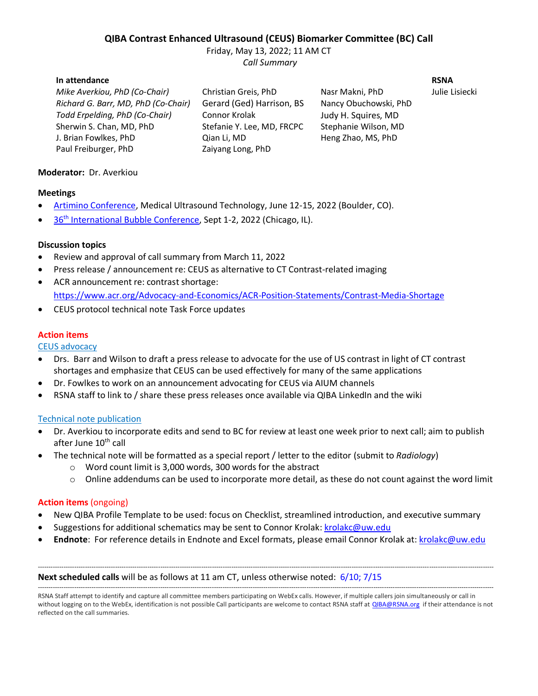# **QIBA Contrast Enhanced Ultrasound (CEUS) Biomarker Committee (BC) Call**

Friday, May 13, 2022; 11 AM CT *Call Summary*

#### **In attendance RSNA**

*Mike Averkiou, PhD (Co-Chair)* Christian Greis, PhD Nasr Makni, PhD Julie Lisiecki *Richard G. Barr, MD, PhD (Co-Chair)* Gerard (Ged) Harrison, BS Nancy Obuchowski, PhD *Todd Erpelding, PhD (Co-Chair)* Connor Krolak Judy H. Squires, MD Sherwin S. Chan, MD, PhD Stefanie Y. Lee, MD, FRCPC Stephanie Wilson, MD J. Brian Fowlkes, PhD Qian Li, MD Heng Zhao, MS, PhD Paul Freiburger, PhD Zaiyang Long, PhD

### **Moderator:** Dr. Averkiou

#### **Meetings**

- [Artimino Conference,](https://artimino2022.com/) Medical Ultrasound Technology, June 12-15, 2022 (Boulder, CO).
- 36<sup>th</sup> [International Bubble Conference,](https://www.bubbleconference.com/) Sept 1-2, 2022 (Chicago, IL).

#### **Discussion topics**

- Review and approval of call summary from March 11, 2022
- Press release / announcement re: CEUS as alternative to CT Contrast-related imaging
- ACR announcement re: contrast shortage: <https://www.acr.org/Advocacy-and-Economics/ACR-Position-Statements/Contrast-Media-Shortage>
- CEUS protocol technical note Task Force updates

#### **Action items**

CEUS advocacy

- Drs. Barr and Wilson to draft a press release to advocate for the use of US contrast in light of CT contrast shortages and emphasize that CEUS can be used effectively for many of the same applications
- Dr. Fowlkes to work on an announcement advocating for CEUS via AIUM channels
- RSNA staff to link to / share these press releases once available via QIBA LinkedIn and the wiki

#### Technical note publication

- Dr. Averkiou to incorporate edits and send to BC for review at least one week prior to next call; aim to publish after June 10<sup>th</sup> call
- The technical note will be formatted as a special report / letter to the editor (submit to *Radiology*)
	- o Word count limit is 3,000 words, 300 words for the abstract
	- $\circ$  Online addendums can be used to incorporate more detail, as these do not count against the word limit

#### **Action items** (ongoing)

- New QIBA Profile Template to be used: focus on Checklist, streamlined introduction, and executive summary
- Suggestions for additional schematics may be sent to Connor Krolak: [krolakc@uw.edu](mailto:krolakc@uw.edu)
- **Endnote**:For reference details in Endnote and Excel formats, please email Connor Krolak at: [krolakc@uw.edu](mailto:krolakc@uw.edu)

#### **Next scheduled calls** will be as follows at 11 am CT, unless otherwise noted: 6/10; 7/15

-------------------------------------------------------------------------------------------------------------------------------------------------------------------------------------------------------------------- RSNA Staff attempt to identify and capture all committee members participating on WebEx calls. However, if multiple callers join simultaneously or call in without logging on to the WebEx, identification is not possible Call participants are welcome to contact RSNA staff a[t QIBA@RSNA.org](mailto:QIBA@RSNA.org) if their attendance is not reflected on the call summaries.

--------------------------------------------------------------------------------------------------------------------------------------------------------------------------------------------------------------------